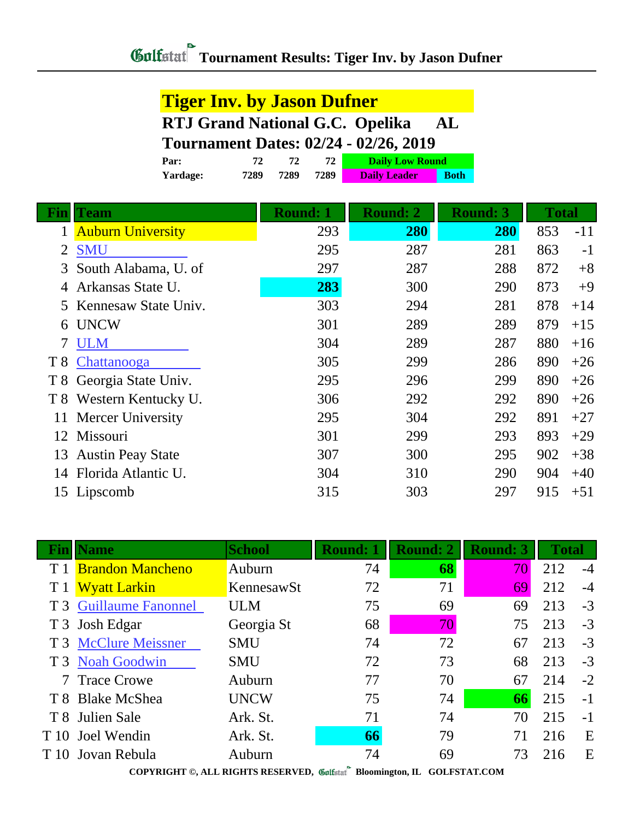## **Tiger Inv. by Jason Dufner RTJ Grand National G.C. Opelika AL Tournament Dates: 02/24 - 02/26, 2019**

| Par:     | 72   |      |      | <b>Daily Low Round</b> |             |
|----------|------|------|------|------------------------|-------------|
| Yardage: | 7289 | 7289 | 7289 | <b>Daily Leader</b>    | <b>Both</b> |

|     | <b>Team</b>              | <b>Round: 1</b> | <b>Round: 2</b> | <b>Round: 3</b> | <b>Total</b> |       |
|-----|--------------------------|-----------------|-----------------|-----------------|--------------|-------|
|     | <b>Auburn University</b> | 293             | 280             | 280             | 853          | $-11$ |
| 2   | <b>SMU</b>               | 295             | 287             | 281             | 863          | $-1$  |
| 3   | South Alabama, U. of     | 297             | 287             | 288             | 872          | $+8$  |
|     | Arkansas State U.        | 283             | 300             | 290             | 873          | $+9$  |
| 5   | Kennesaw State Univ.     | 303             | 294             | 281             | 878          | $+14$ |
| 6   | <b>UNCW</b>              | 301             | 289             | 289             | 879          | $+15$ |
|     | <b>ULM</b>               | 304             | 289             | 287             | 880          | $+16$ |
| T 8 | Chattanooga              | 305             | 299             | 286             | 890          | $+26$ |
|     | T 8 Georgia State Univ.  | 295             | 296             | 299             | 890          | $+26$ |
| T 8 | Western Kentucky U.      | 306             | 292             | 292             | 890          | $+26$ |
| 11  | <b>Mercer University</b> | 295             | 304             | 292             | 891          | $+27$ |
| 12  | Missouri                 | 301             | 299             | 293             | 893          | $+29$ |
| 13  | <b>Austin Peay State</b> | 307             | 300             | 295             | 902          | $+38$ |
| 14  | Florida Atlantic U.      | 304             | 310             | 290             | 904          | $+40$ |
| 15  | Lipscomb                 | 315             | 303             | 297             | 915          | $+51$ |

|                | <b>Name</b>             | <b>School</b> | <b>Round: 1</b> | <b>Round: 2</b> | <b>Round: 3</b> | <b>Total</b> |      |
|----------------|-------------------------|---------------|-----------------|-----------------|-----------------|--------------|------|
|                | <b>Brandon Mancheno</b> | Auburn        | 74              | 68              | 70              | 212          | $-4$ |
|                | <b>Wyatt Larkin</b>     | KennesawSt    | 72              | 71              | 69              | 212          | $-4$ |
|                | T 3 Guillaume Fanonnel  | ULM           | 75              | 69              | 69              | 213          | $-3$ |
| T <sub>3</sub> | Josh Edgar              | Georgia St    | 68              | 70              | 75              | 213          | $-3$ |
|                | T 3 McClure Meissner    | <b>SMU</b>    | 74              | 72              | 67              | 213          | $-3$ |
|                | T 3 Noah Goodwin        | <b>SMU</b>    | 72              | 73              | 68              | 213          | $-3$ |
|                | 7 Trace Crowe           | Auburn        | 77              | 70              | 67              | 214          | $-2$ |
|                | T 8 Blake McShea        | <b>UNCW</b>   | 75              | 74              | 66              | 215          | $-1$ |
|                | T 8 Julien Sale         | Ark. St.      | 71              | 74              | 70              | 215          | $-1$ |
|                | T 10 Joel Wendin        | Ark. St.      | 66              | 79              | 71              | 216          | E    |
|                | T 10 Jovan Rebula       | Auburn        | 74              | 69              | 73              | 216          | E    |
|                |                         |               |                 |                 |                 |              |      |

**COPYRIGHT ©, ALL RIGHTS RESERVED, Bloomington, IL GOLFSTAT.COM**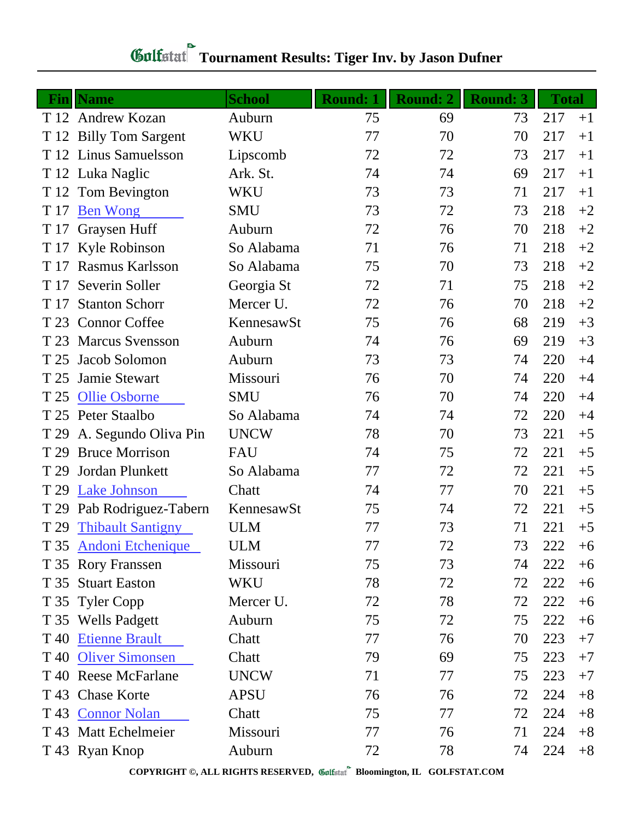| - Fin | <b>Name</b>               | <b>School</b> | <b>Round: 1</b> | <b>Round: 2</b> | <b>Round: 3</b> | <b>Total</b> |      |
|-------|---------------------------|---------------|-----------------|-----------------|-----------------|--------------|------|
|       | T 12 Andrew Kozan         | Auburn        | 75              | 69              | 73              | 217          | $+1$ |
|       | T 12 Billy Tom Sargent    | <b>WKU</b>    | 77              | 70              | 70              | 217          | $+1$ |
|       | T 12 Linus Samuelsson     | Lipscomb      | 72              | 72              | 73              | 217          | $+1$ |
|       | T 12 Luka Naglic          | Ark. St.      | 74              | 74              | 69              | 217          | $+1$ |
| T 12  | Tom Bevington             | WKU           | 73              | 73              | 71              | 217          | $+1$ |
| T 17  | <b>Ben Wong</b>           | <b>SMU</b>    | 73              | 72              | 73              | 218          | $+2$ |
| T 17  | Graysen Huff              | Auburn        | 72              | 76              | 70              | 218          | $+2$ |
|       | T 17 Kyle Robinson        | So Alabama    | 71              | 76              | 71              | 218          | $+2$ |
| T 17  | <b>Rasmus Karlsson</b>    | So Alabama    | 75              | 70              | 73              | 218          | $+2$ |
| T 17  | Severin Soller            | Georgia St    | 72              | 71              | 75              | 218          | $+2$ |
| T 17  | <b>Stanton Schorr</b>     | Mercer U.     | 72              | 76              | 70              | 218          | $+2$ |
|       | T 23 Connor Coffee        | KennesawSt    | 75              | 76              | 68              | 219          | $+3$ |
| T 23  | <b>Marcus Svensson</b>    | Auburn        | 74              | 76              | 69              | 219          | $+3$ |
| T 25  | Jacob Solomon             | Auburn        | 73              | 73              | 74              | 220          | $+4$ |
| T 25  | Jamie Stewart             | Missouri      | 76              | 70              | 74              | 220          | $+4$ |
| T 25  | <b>Ollie Osborne</b>      | <b>SMU</b>    | 76              | 70              | 74              | 220          | $+4$ |
|       | T 25 Peter Staalbo        | So Alabama    | 74              | 74              | 72              | 220          | $+4$ |
| T 29  | A. Segundo Oliva Pin      | <b>UNCW</b>   | 78              | 70              | 73              | 221          | $+5$ |
| T 29  | <b>Bruce Morrison</b>     | <b>FAU</b>    | 74              | 75              | 72              | 221          | $+5$ |
| T 29  | Jordan Plunkett           | So Alabama    | 77              | 72              | 72              | 221          | $+5$ |
| T 29  | <b>Lake Johnson</b>       | Chatt         | 74              | 77              | 70              | 221          | $+5$ |
|       | T 29 Pab Rodriguez-Tabern | KennesawSt    | 75              | 74              | 72              | 221          | $+5$ |
| T 29  | <b>Thibault Santigny</b>  | <b>ULM</b>    | 77              | 73              | 71              | 221          | $+5$ |
|       | T 35 Andoni Etchenique    | <b>ULM</b>    | 77              | 72              | 73              | 222          | $+6$ |
|       | T 35 Rory Franssen        | Missouri      | 75              | 73              | 74              | 222          | $+6$ |
|       | T 35 Stuart Easton        | WKU           | 78              | 72              | 72              | 222          | $+6$ |
|       | T 35 Tyler Copp           | Mercer U.     | 72              | 78              | 72              | 222          | $+6$ |
|       | T 35 Wells Padgett        | Auburn        | 75              | 72              | 75              | 222          | $+6$ |
|       | T 40 Etienne Brault       | Chatt         | 77              | 76              | 70              | 223          | $+7$ |
|       | T 40 Oliver Simonsen      | Chatt         | 79              | 69              | 75              | 223          | $+7$ |
|       | T 40 Reese McFarlane      | <b>UNCW</b>   | 71              | 77              | 75              | 223          | $+7$ |
|       | T 43 Chase Korte          | <b>APSU</b>   | 76              | 76              | 72              | 224          | $+8$ |
|       | T 43 Connor Nolan         | Chatt         | 75              | 77              | 72              | 224          | $+8$ |
|       | T 43 Matt Echelmeier      | Missouri      | 77              | 76              | 71              | 224          | $+8$ |
|       | T 43 Ryan Knop            | Auburn        | 72              | 78              | 74              | 224          | $+8$ |

## *Gulfatat* Tournament Results: Tiger Inv. by Jason Dufner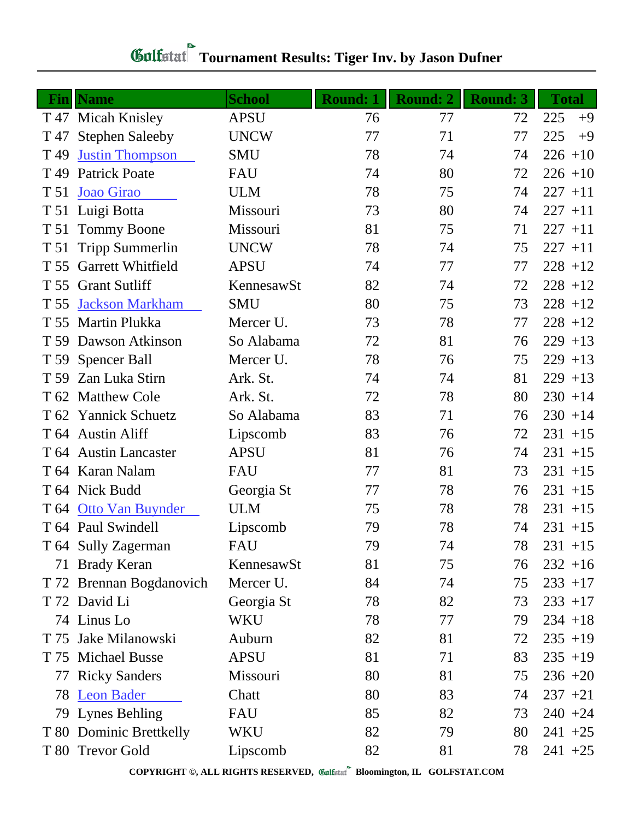|      | <b>Fin</b>   Name        | <b>School</b> | <b>Round: 1</b> | <b>Round: 2</b> | <b>Round: 3</b> | <b>Total</b> |
|------|--------------------------|---------------|-----------------|-----------------|-----------------|--------------|
|      | T 47 Micah Knisley       | <b>APSU</b>   | 76              | 77              | 72              | 225<br>$+9$  |
| T 47 | <b>Stephen Saleeby</b>   | <b>UNCW</b>   | 77              | 71              | 77              | 225<br>$+9$  |
| T 49 | <b>Justin Thompson</b>   | <b>SMU</b>    | 78              | 74              | 74              | $226 + 10$   |
|      | T 49 Patrick Poate       | FAU           | 74              | 80              | 72              | $226 + 10$   |
| T 51 | Joao Girao               | <b>ULM</b>    | 78              | 75              | 74              | $227 + 11$   |
|      | T 51 Luigi Botta         | Missouri      | 73              | 80              | 74              | $227 + 11$   |
| T 51 | <b>Tommy Boone</b>       | Missouri      | 81              | 75              | 71              | $227 + 11$   |
| T 51 | <b>Tripp Summerlin</b>   | <b>UNCW</b>   | 78              | 74              | 75              | $227 + 11$   |
| T 55 | Garrett Whitfield        | <b>APSU</b>   | 74              | 77              | 77              | $228 + 12$   |
|      | T 55 Grant Sutliff       | KennesawSt    | 82              | 74              | 72              | $228 + 12$   |
| T 55 | <b>Jackson Markham</b>   | <b>SMU</b>    | 80              | 75              | 73              | $228 + 12$   |
|      | T 55 Martin Plukka       | Mercer U.     | 73              | 78              | 77              | $228 + 12$   |
| T 59 | Dawson Atkinson          | So Alabama    | 72              | 81              | 76              | $229 + 13$   |
|      | T 59 Spencer Ball        | Mercer U.     | 78              | 76              | 75              | $229 + 13$   |
|      | T 59 Zan Luka Stirn      | Ark. St.      | 74              | 74              | 81              | $229 + 13$   |
|      | T 62 Matthew Cole        | Ark. St.      | 72              | 78              | 80              | $230 + 14$   |
| T 62 | <b>Yannick Schuetz</b>   | So Alabama    | 83              | 71              | 76              | $230 + 14$   |
|      | T 64 Austin Aliff        | Lipscomb      | 83              | 76              | 72              | $231 + 15$   |
|      | T 64 Austin Lancaster    | <b>APSU</b>   | 81              | 76              | 74              | $231 + 15$   |
|      | T 64 Karan Nalam         | <b>FAU</b>    | 77              | 81              | 73              | $231 + 15$   |
|      | T 64 Nick Budd           | Georgia St    | 77              | 78              | 76              | $231 + 15$   |
|      | T 64 Otto Van Buynder    | <b>ULM</b>    | 75              | 78              | 78              | $231 + 15$   |
|      | T 64 Paul Swindell       | Lipscomb      | 79              | 78              | 74              | $231 + 15$   |
|      | T 64 Sully Zagerman      | FAU           | 79              | 74              | 78              | $231 + 15$   |
|      | 71 Brady Keran           | KennesawSt    | 81              | 75              | 76              | $232 + 16$   |
|      | T 72 Brennan Bogdanovich | Mercer U.     | 84              | 74              | 75              | $233 + 17$   |
|      | T 72 David Li            | Georgia St    | 78              | 82              | 73              | $233 + 17$   |
|      | 74 Linus Lo              | WKU           | 78              | 77              | 79              | $234 + 18$   |
|      | T 75 Jake Milanowski     | Auburn        | 82              | 81              | 72              | $235 + 19$   |
|      | T 75 Michael Busse       | <b>APSU</b>   | 81              | 71              | 83              | $235 + 19$   |
|      | 77 Ricky Sanders         | Missouri      | 80              | 81              | 75              | $236 + 20$   |
|      | 78 Leon Bader            | Chatt         | 80              | 83              | 74              | $237 +21$    |
|      | 79 Lynes Behling         | FAU           | 85              | 82              | 73              | $240 + 24$   |
|      | T 80 Dominic Brettkelly  | WKU           | 82              | 79              | 80              | $241 + 25$   |
|      | T 80 Trevor Gold         | Lipscomb      | 82              | 81              | 78              | $241 + 25$   |

## **Gulfatat Tournament Results: Tiger Inv. by Jason Dufner**